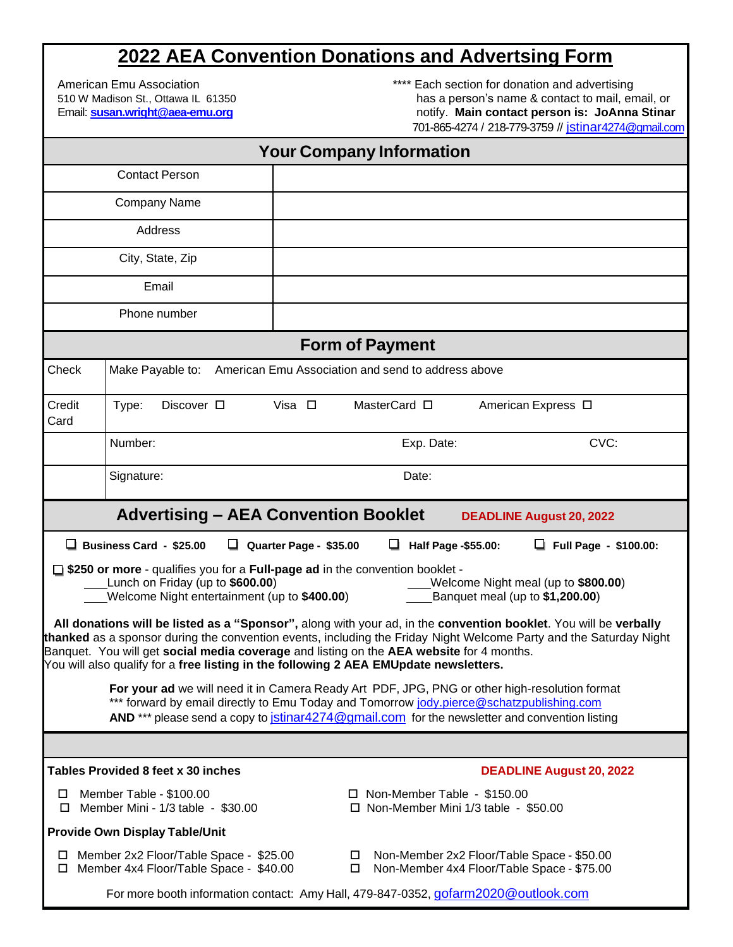# **2022 AEA Convention Donations and Advertsing Form**

American Emu Association **American** Emu Association **American** Emu Association 510 W Madison St., Ottawa IL 61350 has a person's name & contact to mail, email, or<br>Email: **susan.wright@aea-emu.org** extending the motify. **Main contact person is: JoAnna Stinar** Email: **[susan.wright@aea-emu.org](mailto:susan.wright@aea-emu.org)** notify. **Main contact person is: JoAnna Stinar** 701-865-4274 / 218-779-3759 // [jstinar](mailto:jstinar4274@gmail.com)[4274@gmail.com](mailto:jstinar4274@gmail.com)

| <b>Your Company Information</b>                                                                                                                                                                                                                                                                                                                                                                                             |                                                                     |        |                                                                        |                    |  |
|-----------------------------------------------------------------------------------------------------------------------------------------------------------------------------------------------------------------------------------------------------------------------------------------------------------------------------------------------------------------------------------------------------------------------------|---------------------------------------------------------------------|--------|------------------------------------------------------------------------|--------------------|--|
|                                                                                                                                                                                                                                                                                                                                                                                                                             | <b>Contact Person</b>                                               |        |                                                                        |                    |  |
| <b>Company Name</b>                                                                                                                                                                                                                                                                                                                                                                                                         |                                                                     |        |                                                                        |                    |  |
| Address                                                                                                                                                                                                                                                                                                                                                                                                                     |                                                                     |        |                                                                        |                    |  |
| City, State, Zip                                                                                                                                                                                                                                                                                                                                                                                                            |                                                                     |        |                                                                        |                    |  |
| Email                                                                                                                                                                                                                                                                                                                                                                                                                       |                                                                     |        |                                                                        |                    |  |
| Phone number                                                                                                                                                                                                                                                                                                                                                                                                                |                                                                     |        |                                                                        |                    |  |
| <b>Form of Payment</b>                                                                                                                                                                                                                                                                                                                                                                                                      |                                                                     |        |                                                                        |                    |  |
| Check                                                                                                                                                                                                                                                                                                                                                                                                                       | Make Payable to: American Emu Association and send to address above |        |                                                                        |                    |  |
| Credit<br>Card                                                                                                                                                                                                                                                                                                                                                                                                              | Discover $\square$<br>Type:                                         | Visa □ | MasterCard □                                                           | American Express □ |  |
|                                                                                                                                                                                                                                                                                                                                                                                                                             | Number:                                                             |        | Exp. Date:                                                             | CVC:               |  |
|                                                                                                                                                                                                                                                                                                                                                                                                                             | Signature:                                                          |        | Date:                                                                  |                    |  |
| <b>Advertising - AEA Convention Booklet</b><br><b>DEADLINE August 20, 2022</b>                                                                                                                                                                                                                                                                                                                                              |                                                                     |        |                                                                        |                    |  |
| $\Box$ Business Card - \$25.00<br>$\Box$ Full Page - \$100.00:<br>⊔<br>Quarter Page - \$35.00<br>⊔<br>Half Page -\$55.00:                                                                                                                                                                                                                                                                                                   |                                                                     |        |                                                                        |                    |  |
| $\Box$ \$250 or more - qualifies you for a Full-page ad in the convention booklet -<br>Lunch on Friday (up to \$600.00)<br>Welcome Night meal (up to \$800.00)<br>Welcome Night entertainment (up to \$400.00)<br>Banquet meal (up to \$1,200.00)                                                                                                                                                                           |                                                                     |        |                                                                        |                    |  |
| All donations will be listed as a "Sponsor", along with your ad, in the convention booklet. You will be verbally<br>thanked as a sponsor during the convention events, including the Friday Night Welcome Party and the Saturday Night<br>Banquet. You will get social media coverage and listing on the AEA website for 4 months.<br>You will also qualify for a free listing in the following 2 AEA EMUpdate newsletters. |                                                                     |        |                                                                        |                    |  |
| For your ad we will need it in Camera Ready Art PDF, JPG, PNG or other high-resolution format<br>*** forward by email directly to Emu Today and Tomorrow jody.pierce@schatzpublishing.com<br>AND <sup>***</sup> please send a copy to <b>jstinar4274@gmail.com</b> for the newsletter and convention listing                                                                                                                |                                                                     |        |                                                                        |                    |  |
|                                                                                                                                                                                                                                                                                                                                                                                                                             |                                                                     |        |                                                                        |                    |  |
| Tables Provided 8 feet x 30 inches<br><b>DEADLINE August 20, 2022</b>                                                                                                                                                                                                                                                                                                                                                       |                                                                     |        |                                                                        |                    |  |
| Member Table - \$100.00<br>□<br>Member Mini - 1/3 table - \$30.00<br>□                                                                                                                                                                                                                                                                                                                                                      |                                                                     |        | □ Non-Member Table - \$150.00<br>□ Non-Member Mini 1/3 table - \$50.00 |                    |  |
| Provide Own Display Table/Unit                                                                                                                                                                                                                                                                                                                                                                                              |                                                                     |        |                                                                        |                    |  |
| Member 2x2 Floor/Table Space - \$25.00<br>Non-Member 2x2 Floor/Table Space - \$50.00<br>ш<br>□<br>Member 4x4 Floor/Table Space - \$40.00<br>Non-Member 4x4 Floor/Table Space - \$75.00<br>□<br>□                                                                                                                                                                                                                            |                                                                     |        |                                                                        |                    |  |
| For more booth information contact: Amy Hall, 479-847-0352, gofarm2020@outlook.com                                                                                                                                                                                                                                                                                                                                          |                                                                     |        |                                                                        |                    |  |